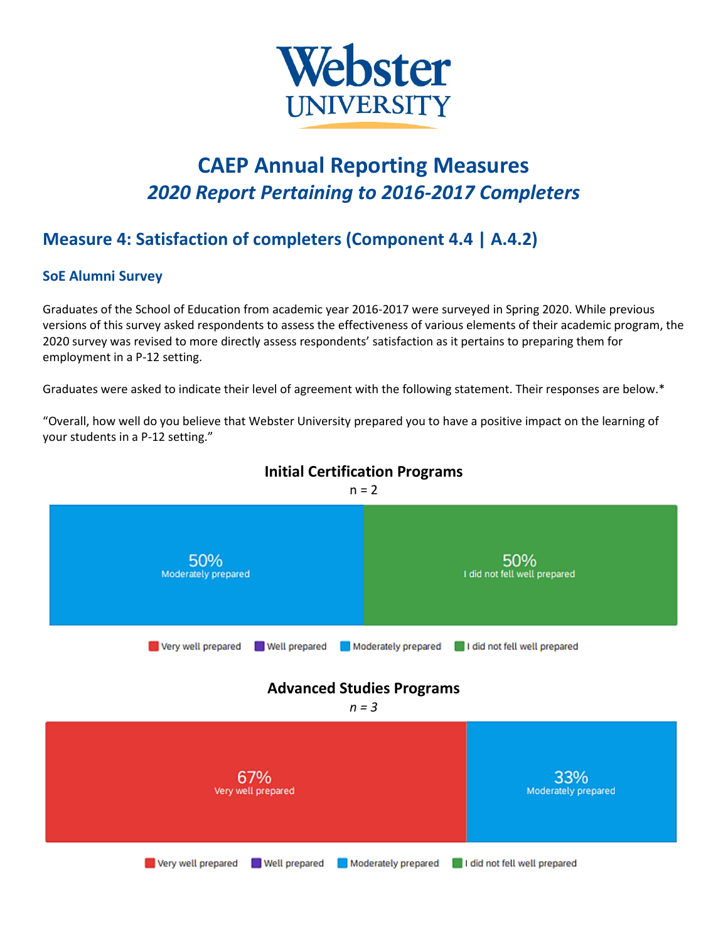

# **CAEP Annual Reporting Measures** *2020 Report Pertaining to 2016-2017 Completers*

## **Measure 4: Satisfaction of completers (Component 4.4 | A.4.2)**

### **SoE Alumni Survey**

Graduates of the School of Education from academic year 2016-2017 were surveyed in Spring 2020. While previous versions of this survey asked respondents to assess the effectiveness of various elements of their academic program, the 2020 survey was revised to more directly assess respondents' satisfaction as it pertains to preparing them for employment in a P-12 setting.

Graduates were asked to indicate their level of agreement with the following statement. Their responses are below.\*

"Overall, how well do you believe that Webster University prepared you to have a positive impact on the learning of your students in a P-12 setting."